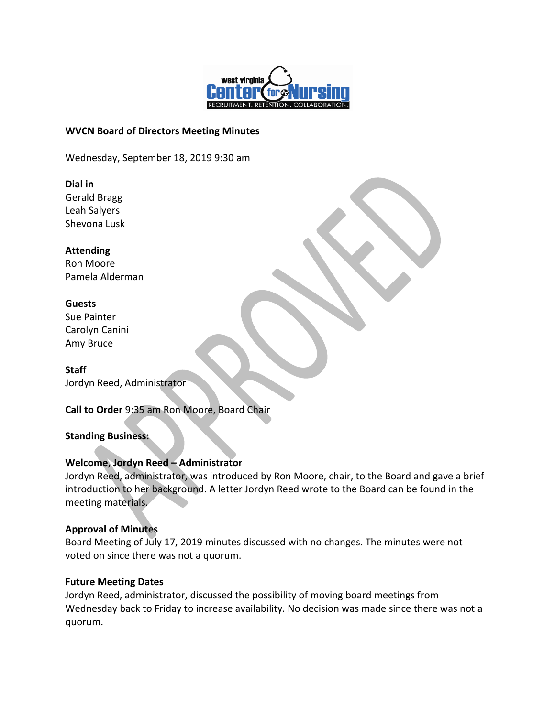

### **WVCN Board of Directors Meeting Minutes**

Wednesday, September 18, 2019 9:30 am

### **Dial in**

Gerald Bragg Leah Salyers Shevona Lusk

### **Attending**

Ron Moore Pamela Alderman

### **Guests**

Sue Painter Carolyn Canini Amy Bruce

**Staff** Jordyn Reed, Administrator

**Call to Order** 9:35 am Ron Moore, Board Chair

# **Standing Business:**

# **Welcome, Jordyn Reed – Administrator**

Jordyn Reed, administrator, was introduced by Ron Moore, chair, to the Board and gave a brief introduction to her background. A letter Jordyn Reed wrote to the Board can be found in the meeting materials.

# **Approval of Minutes**

Board Meeting of July 17, 2019 minutes discussed with no changes. The minutes were not voted on since there was not a quorum.

# **Future Meeting Dates**

Jordyn Reed, administrator, discussed the possibility of moving board meetings from Wednesday back to Friday to increase availability. No decision was made since there was not a quorum.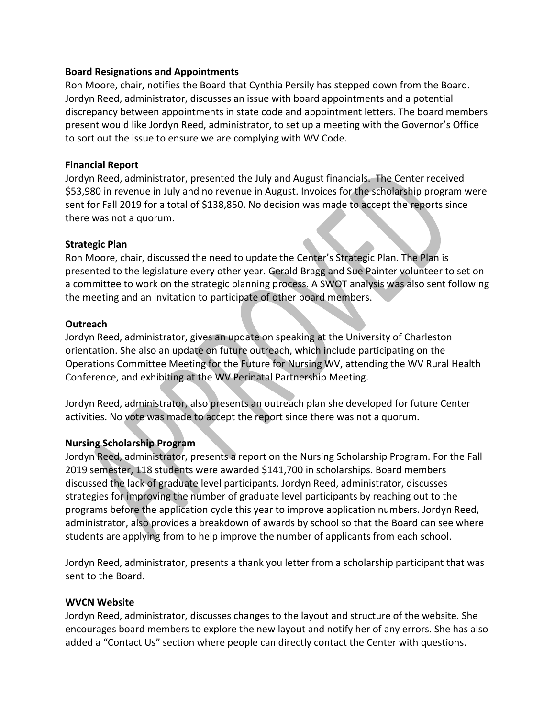### **Board Resignations and Appointments**

Ron Moore, chair, notifies the Board that Cynthia Persily has stepped down from the Board. Jordyn Reed, administrator, discusses an issue with board appointments and a potential discrepancy between appointments in state code and appointment letters. The board members present would like Jordyn Reed, administrator, to set up a meeting with the Governor's Office to sort out the issue to ensure we are complying with WV Code.

### **Financial Report**

Jordyn Reed, administrator, presented the July and August financials. The Center received \$53,980 in revenue in July and no revenue in August. Invoices for the scholarship program were sent for Fall 2019 for a total of \$138,850. No decision was made to accept the reports since there was not a quorum.

### **Strategic Plan**

Ron Moore, chair, discussed the need to update the Center's Strategic Plan. The Plan is presented to the legislature every other year. Gerald Bragg and Sue Painter volunteer to set on a committee to work on the strategic planning process. A SWOT analysis was also sent following the meeting and an invitation to participate of other board members.

#### **Outreach**

Jordyn Reed, administrator, gives an update on speaking at the University of Charleston orientation. She also an update on future outreach, which include participating on the Operations Committee Meeting for the Future for Nursing WV, attending the WV Rural Health Conference, and exhibiting at the WV Perinatal Partnership Meeting.

Jordyn Reed, administrator, also presents an outreach plan she developed for future Center activities. No vote was made to accept the report since there was not a quorum.

### **Nursing Scholarship Program**

Jordyn Reed, administrator, presents a report on the Nursing Scholarship Program. For the Fall 2019 semester, 118 students were awarded \$141,700 in scholarships. Board members discussed the lack of graduate level participants. Jordyn Reed, administrator, discusses strategies for improving the number of graduate level participants by reaching out to the programs before the application cycle this year to improve application numbers. Jordyn Reed, administrator, also provides a breakdown of awards by school so that the Board can see where students are applying from to help improve the number of applicants from each school.

Jordyn Reed, administrator, presents a thank you letter from a scholarship participant that was sent to the Board.

### **WVCN Website**

Jordyn Reed, administrator, discusses changes to the layout and structure of the website. She encourages board members to explore the new layout and notify her of any errors. She has also added a "Contact Us" section where people can directly contact the Center with questions.